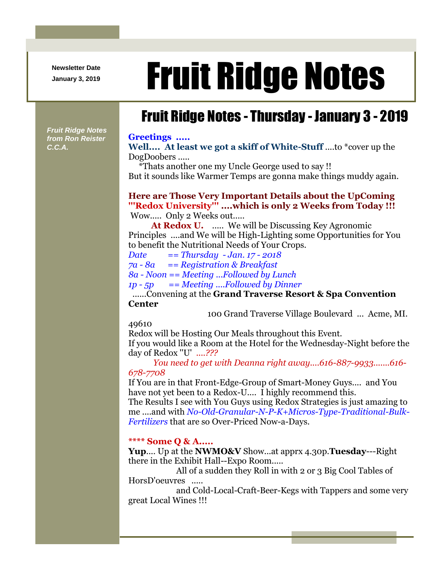**Newsletter Date**

*Fruit Ridge Notes from Ron Reister* 

*C.C.A.*

# Newsletter Date **Fruit Ridge Notes**

## Fruit Ridge Notes - Thursday - January 3 - 2019

#### **Greetings .....**

**Well.... At least we got a skiff of White-Stuff** ....to \*cover up the DogDoobers .....

\*Thats another one my Uncle George used to say !! But it sounds like Warmer Temps are gonna make things muddy again.

## **Here are Those Very Important Details about the UpComing '''Redox University''' ....which is only 2 Weeks from Today !!!**

Wow..... Only 2 Weeks out.....

At Redox U. ..... We will be Discussing Key Agronomic Principles ....and We will be High-Lighting some Opportunities for You to benefit the Nutritional Needs of Your Crops.

*Date == Thursday - Jan. 17 - 2018 7a - 8a == Registration & Breakfast 8a - Noon == Meeting ...Followed by Lunch 1p - 5p == Meeting ....Followed by Dinner*

## ......Convening at the **Grand Traverse Resort & Spa Convention Center**

100 Grand Traverse Village Boulevard ... Acme, MI.

49610

Redox will be Hosting Our Meals throughout this Event. If you would like a Room at the Hotel for the Wednesday-Night before the day of Redox ''U' *....???*

*You need to get with Deanna right away....616-887-9933.......616- 678-7708*

If You are in that Front-Edge-Group of Smart-Money Guys.... and You have not yet been to a Redox-U.... I highly recommend this.

The Results I see with You Guys using Redox Strategies is just amazing to me ....and with *No-Old-Granular-N-P-K+Micros-Type-Traditional-Bulk-Fertilizers* that are so Over-Priced Now-a-Days.

## **\*\*\*\* Some Q & A.....**

**Yup**.... Up at the **NWMO&V** Show...at apprx 4.30p.**Tuesday**---Right there in the Exhibit Hall--Expo Room.....

All of a sudden they Roll in with 2 or 3 Big Cool Tables of HorsD'oeuvres .....

and Cold-Local-Craft-Beer-Kegs with Tappers and some very great Local Wines !!!